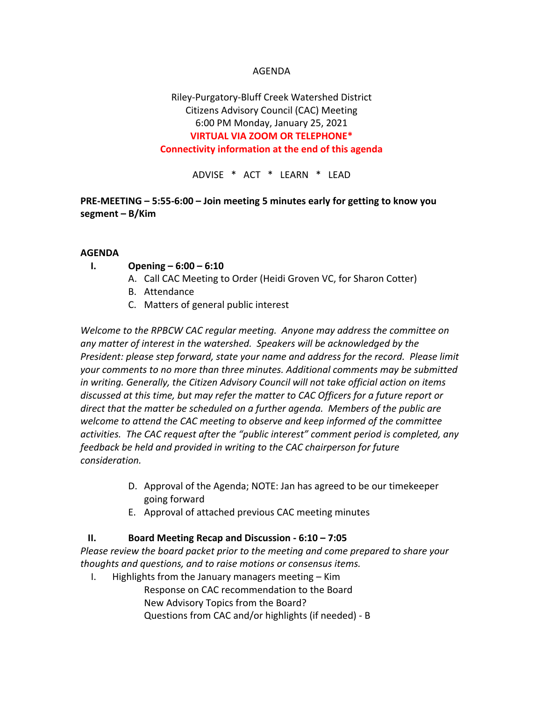### AGENDA

# Riley-Purgatory-Bluff Creek Watershed District Citizens Advisory Council (CAC) Meeting 6:00 PM Monday, January 25, 2021 **VIRTUAL VIA ZOOM OR TELEPHONE\* Connectivity information at the end of this agenda**

ADVISE \* ACT \* LEARN \* LEAD

### **PRE-MEETING – 5:55-6:00 – Join meeting 5 minutes early for getting to know you segment – B/Kim**

#### **AGENDA**

### **I. Opening – 6:00 – 6:10**

- A. Call CAC Meeting to Order (Heidi Groven VC, for Sharon Cotter)
- B. Attendance
- C. Matters of general public interest

*Welcome to the RPBCW CAC regular meeting. Anyone may address the committee on any matter of interest in the watershed. Speakers will be acknowledged by the President: please step forward, state your name and address for the record. Please limit your comments to no more than three minutes. Additional comments may be submitted in writing. Generally, the Citizen Advisory Council will not take official action on items discussed at this time, but may refer the matter to CAC Officers for a future report or direct that the matter be scheduled on a further agenda. Members of the public are welcome to attend the CAC meeting to observe and keep informed of the committee activities. The CAC request after the "public interest" comment period is completed, any feedback be held and provided in writing to the CAC chairperson for future consideration.*

- D. Approval of the Agenda; NOTE: Jan has agreed to be our timekeeper going forward
- E. Approval of attached previous CAC meeting minutes

### **II. Board Meeting Recap and Discussion - 6:10 – 7:05**

*Please review the board packet prior to the meeting and come prepared to share your thoughts and questions, and to raise motions or consensus items.* 

I. Highlights from the January managers meeting – Kim Response on CAC recommendation to the Board New Advisory Topics from the Board? Questions from CAC and/or highlights (if needed) - B